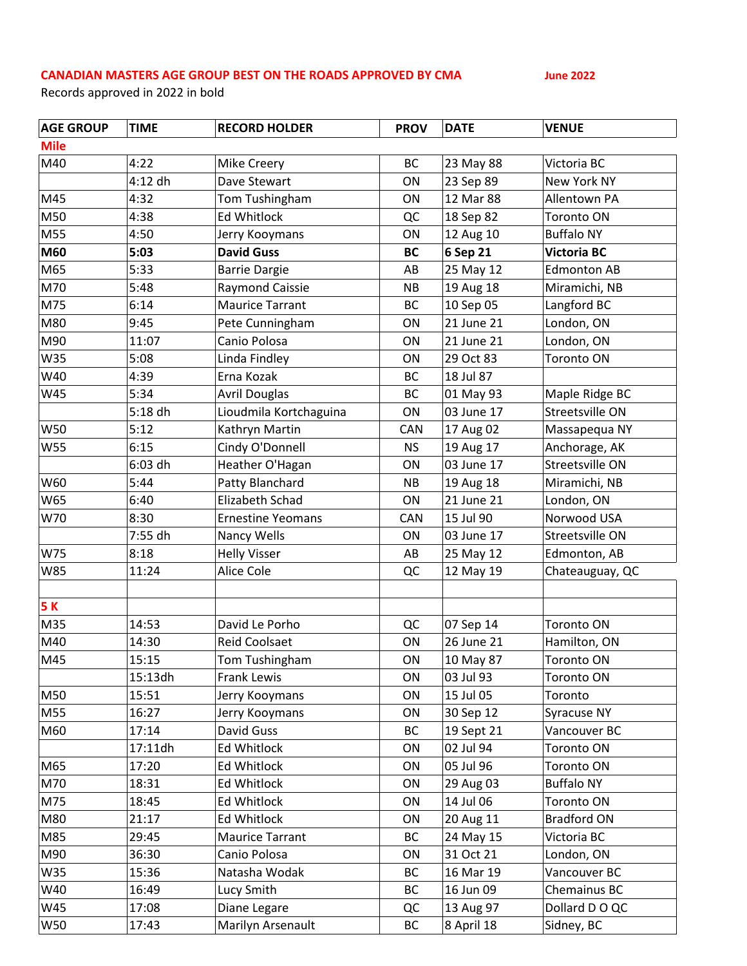## **CANADIAN MASTERS AGE GROUP BEST ON THE ROADS APPROVED BY CMA June 2022**

Records approved in 2022 in bold

**AGE GROUP TIME RECORD HOLDER PROV DATE VENUE Mile** M40  $\vert$ 4:22 | Mike Creery BC 23 May 88 | Victoria BC 4:12 dh Dave Stewart ON 23 Sep 89 New York NY M45  $\vert$ 4:32 Tom Tushingham  $\vert$  ON  $\vert$  12 Mar 88  $\vert$  Allentown PA M50 4:38 Ed Whitlock QC 18 Sep 82 Toronto ON M55  $\vert$ 4:50  $\vert$ Jerry Kooymans  $\vert$  ON  $\vert$  12 Aug 10  $\vert$  Buffalo NY **M60 5:03 David Guss BC 6 Sep 21 Victoria BC** M65  $\vert$ 5:33 |Barrie Dargie | AB |25 May 12 |Edmonton AB M70 5:48 Raymond Caissie NB 19 Aug 18 Miramichi, NB M75 6:14 Maurice Tarrant BC 10 Sep 05 Langford BC M80 9:45 Pete Cunningham ON 21 June 21 London, ON M90  $\vert$ 11:07  $\vert$ Canio Polosa  $\vert$  ON  $\vert$ 21 June 21  $\vert$  London, ON W35 5:08 Linda Findley 1 ON 29 Oct 83 Toronto ON W40 4:39 Erna Kozak BC 18 Jul 87 W45  $\vert$ 5:34 | Avril Douglas | BC | 01 May 93 | Maple Ridge BC 5:18 dh **Lioudmila Kortchaguina No. 103 June 17 Streetsville ON** W50 5:12 Kathryn Martin CAN 17 Aug 02 Massapequa NY W55  $\vert$  6:15  $\vert$  Cindy O'Donnell  $\vert$  NS  $\vert$  19 Aug 17  $\vert$  Anchorage, AK 6:03 dh Heather O'Hagan ON 03 June 17 Streetsville ON W60  $\vert$ 5:44 |Patty Blanchard | NB 19 Aug 18 | Miramichi, NB W65  $\vert$  6:40  $\vert$  Elizabeth Schad  $\vert$  ON 21 June 21  $\vert$  London, ON W70  $\vert$ 8:30 | Ernestine Yeomans | CAN | 15 Jul 90 | Norwood USA 7:55 dh Nancy Wells ON 03 June 17 Streetsville ON W75  $\vert$ 8:18  $\vert$ Helly Visser  $\vert$  AB  $\vert$  25 May 12 Edmonton, AB W85  $\vert$ 11:24  $\vert$  Alice Cole  $\vert$  QC  $\vert$  12 May 19  $\vert$  Chateauguay, QC **5 K** M35 14:53 David Le Porho 1 QC 07 Sep 14 Toronto ON M40 14:30 Reid Coolsaet 1 ON 26 June 21 Hamilton, ON M45 15:15 Tom Tushingham 10 N 10 May 87 Toronto ON 15:13dh Frank Lewis | ON 03 Jul 93 | Toronto ON M50 15:51 | Jerry Kooymans | ON | 15 Jul 05 | Toronto M55  $\vert$  16:27  $\vert$  Jerry Kooymans  $\vert$  ON 30 Sep 12 Syracuse NY M60  $\vert$ 17:14  $\vert$ David Guss  $\vert$  BC  $\vert$  19 Sept 21  $\vert$  Vancouver BC 17:11dh Ed Whitlock  $\vert$  ON  $\vert$  02 Jul 94 Toronto ON M65 |17:20 |Ed Whitlock | ON |05 Jul 96 |Toronto ON M70 18:31 Ed Whitlock ON 29 Aug 03 Buffalo NY M75 |18:45 |Ed Whitlock | ON |14 Jul 06 |Toronto ON M80  $\vert$ 21:17  $\vert$  Ed Whitlock  $\vert$  ON  $\vert$  20 Aug 11  $\vert$  Bradford ON M85 29:45 Maurice Tarrant BC 24 May 15 Victoria BC M90 |36:30 |Canio Polosa | ON |31 Oct 21 |London, ON W35  $\vert$ 15:36 | Natasha Wodak  $\vert$  BC | 16 Mar 19 | Vancouver BC W40 16:49 Lucy Smith BC 16 Jun 09 Chemainus BC W45 17:08 Diane Legare QC 13 Aug 97 Dollard D O QC W50 17:43 | Marilyn Arsenault | BC | 8 April 18 | Sidney, BC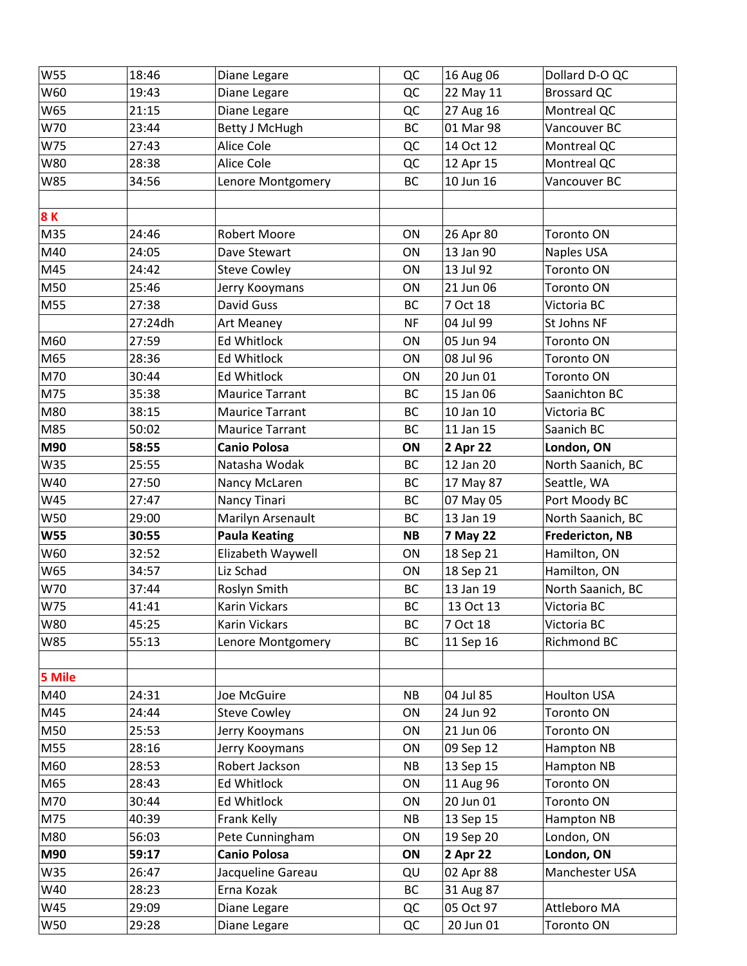| W55        | 18:46   | Diane Legare           | QC        | 16 Aug 06 | Dollard D-O QC     |
|------------|---------|------------------------|-----------|-----------|--------------------|
| W60        | 19:43   | Diane Legare           | QC        | 22 May 11 | <b>Brossard QC</b> |
| W65        | 21:15   | Diane Legare           | QC        | 27 Aug 16 | Montreal QC        |
| W70        | 23:44   | <b>Betty J McHugh</b>  | <b>BC</b> | 01 Mar 98 | Vancouver BC       |
| W75        | 27:43   | Alice Cole             | QC        | 14 Oct 12 | Montreal QC        |
| W80        | 28:38   | Alice Cole             | QC        | 12 Apr 15 | Montreal QC        |
| W85        | 34:56   | Lenore Montgomery      | BC        | 10 Jun 16 | Vancouver BC       |
|            |         |                        |           |           |                    |
| <b>8K</b>  |         |                        |           |           |                    |
| M35        | 24:46   | Robert Moore           | ON        | 26 Apr 80 | Toronto ON         |
| M40        | 24:05   | Dave Stewart           | ON        | 13 Jan 90 | Naples USA         |
| M45        | 24:42   | <b>Steve Cowley</b>    | ON        | 13 Jul 92 | Toronto ON         |
| M50        | 25:46   | Jerry Kooymans         | ON        | 21 Jun 06 | Toronto ON         |
| M55        | 27:38   | David Guss             | BC        | 7 Oct 18  | Victoria BC        |
|            | 27:24dh | Art Meaney             | <b>NF</b> | 04 Jul 99 | St Johns NF        |
| M60        | 27:59   | <b>Ed Whitlock</b>     | ON        | 05 Jun 94 | Toronto ON         |
| M65        | 28:36   | <b>Ed Whitlock</b>     | ON        | 08 Jul 96 | Toronto ON         |
| M70        | 30:44   | <b>Ed Whitlock</b>     | ON        | 20 Jun 01 | <b>Toronto ON</b>  |
| M75        | 35:38   | <b>Maurice Tarrant</b> | BC        | 15 Jan 06 | Saanichton BC      |
| M80        | 38:15   | <b>Maurice Tarrant</b> | <b>BC</b> | 10 Jan 10 | Victoria BC        |
| M85        | 50:02   | <b>Maurice Tarrant</b> | BC        | 11 Jan 15 | Saanich BC         |
| M90        | 58:55   | <b>Canio Polosa</b>    | ON        | 2 Apr 22  | London, ON         |
| W35        | 25:55   | Natasha Wodak          | <b>BC</b> | 12 Jan 20 | North Saanich, BC  |
| W40        | 27:50   | Nancy McLaren          | BC        | 17 May 87 | Seattle, WA        |
| W45        | 27:47   | Nancy Tinari           | <b>BC</b> | 07 May 05 | Port Moody BC      |
| W50        | 29:00   | Marilyn Arsenault      | BC        | 13 Jan 19 | North Saanich, BC  |
| <b>W55</b> | 30:55   | <b>Paula Keating</b>   | <b>NB</b> | 7 May 22  | Fredericton, NB    |
| W60        | 32:52   | Elizabeth Waywell      | ON        | 18 Sep 21 | Hamilton, ON       |
| W65        | 34:57   | Liz Schad              | ON        | 18 Sep 21 | Hamilton, ON       |
| W70        | 37:44   | Roslyn Smith           | <b>BC</b> | 13 Jan 19 | North Saanich, BC  |
| W75        | 41:41   | Karin Vickars          | BC        | 13 Oct 13 | Victoria BC        |
| W80        | 45:25   | Karin Vickars          | BC        | 7 Oct 18  | Victoria BC        |
| W85        | 55:13   | Lenore Montgomery      | BC        | 11 Sep 16 | Richmond BC        |
|            |         |                        |           |           |                    |
| 5 Mile     |         |                        |           |           |                    |
| M40        | 24:31   | Joe McGuire            | <b>NB</b> | 04 Jul 85 | <b>Houlton USA</b> |
| M45        | 24:44   | <b>Steve Cowley</b>    | ON        | 24 Jun 92 | Toronto ON         |
| M50        | 25:53   | Jerry Kooymans         | ON        | 21 Jun 06 | Toronto ON         |
| M55        | 28:16   | Jerry Kooymans         | ON        | 09 Sep 12 | Hampton NB         |
| M60        | 28:53   | Robert Jackson         | NB        | 13 Sep 15 | Hampton NB         |
| M65        | 28:43   | <b>Ed Whitlock</b>     | ON        | 11 Aug 96 | Toronto ON         |
| M70        | 30:44   | <b>Ed Whitlock</b>     | ON        | 20 Jun 01 | Toronto ON         |
| M75        | 40:39   | Frank Kelly            | NB        | 13 Sep 15 | Hampton NB         |
| M80        | 56:03   | Pete Cunningham        | ON        | 19 Sep 20 | London, ON         |
| <b>M90</b> | 59:17   | <b>Canio Polosa</b>    | ON        | 2 Apr 22  | London, ON         |
| W35        | 26:47   | Jacqueline Gareau      | QU        | 02 Apr 88 | Manchester USA     |
| W40        | 28:23   | Erna Kozak             | BC        | 31 Aug 87 |                    |
| W45        | 29:09   | Diane Legare           | QC        | 05 Oct 97 | Attleboro MA       |
| W50        | 29:28   | Diane Legare           | QC        | 20 Jun 01 | Toronto ON         |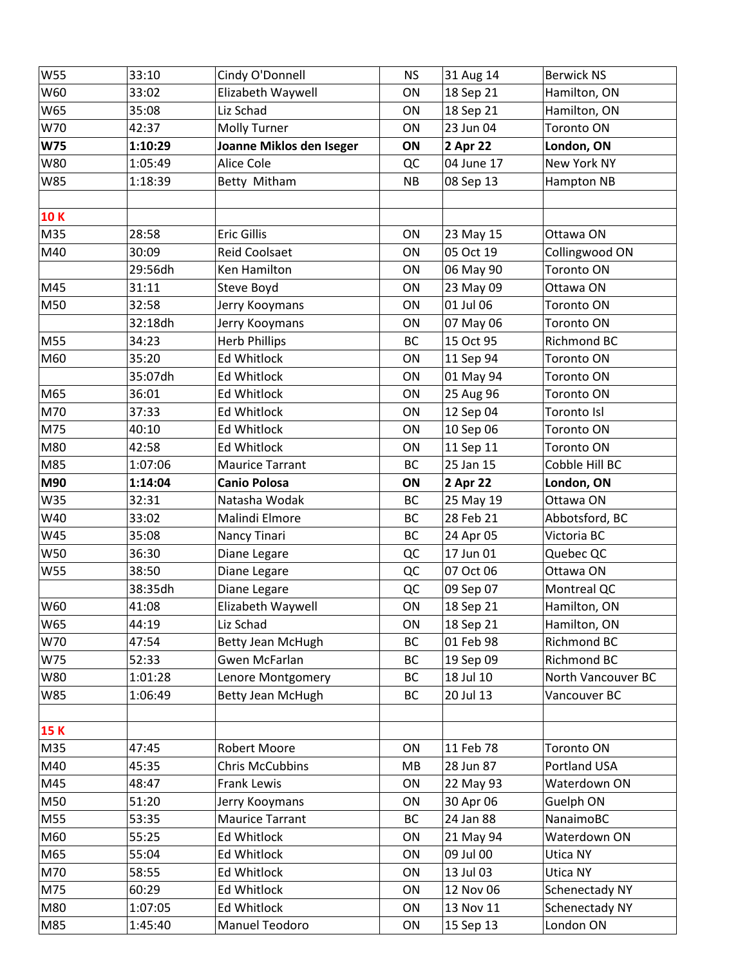| W55        | 33:10   | Cindy O'Donnell          | <b>NS</b> | 31 Aug 14  | <b>Berwick NS</b>  |
|------------|---------|--------------------------|-----------|------------|--------------------|
| W60        | 33:02   | Elizabeth Waywell        | ON        | 18 Sep 21  | Hamilton, ON       |
| W65        | 35:08   | Liz Schad                | ON        | 18 Sep 21  | Hamilton, ON       |
| W70        | 42:37   | <b>Molly Turner</b>      | ON        | 23 Jun 04  | Toronto ON         |
| <b>W75</b> | 1:10:29 | Joanne Miklos den Iseger | ON        | 2 Apr 22   | London, ON         |
| W80        | 1:05:49 | Alice Cole               | QC        | 04 June 17 | New York NY        |
| W85        | 1:18:39 | Betty Mitham             | NB        | 08 Sep 13  | Hampton NB         |
|            |         |                          |           |            |                    |
| <b>10K</b> |         |                          |           |            |                    |
| M35        | 28:58   | <b>Eric Gillis</b>       | ON        | 23 May 15  | Ottawa ON          |
| M40        | 30:09   | <b>Reid Coolsaet</b>     | ON        | 05 Oct 19  | Collingwood ON     |
|            | 29:56dh | <b>Ken Hamilton</b>      | ON        | 06 May 90  | <b>Toronto ON</b>  |
| M45        | 31:11   | Steve Boyd               | ON        | 23 May 09  | Ottawa ON          |
| M50        | 32:58   | Jerry Kooymans           | ON        | 01 Jul 06  | Toronto ON         |
|            | 32:18dh | Jerry Kooymans           | ON        | 07 May 06  | Toronto ON         |
| M55        | 34:23   | <b>Herb Phillips</b>     | <b>BC</b> | 15 Oct 95  | Richmond BC        |
| M60        | 35:20   | <b>Ed Whitlock</b>       | ON        | 11 Sep 94  | Toronto ON         |
|            | 35:07dh | <b>Ed Whitlock</b>       | ON        | 01 May 94  | Toronto ON         |
| M65        | 36:01   | <b>Ed Whitlock</b>       | ON        | 25 Aug 96  | Toronto ON         |
| M70        | 37:33   | <b>Ed Whitlock</b>       | ON        | 12 Sep 04  | Toronto Isl        |
| M75        | 40:10   | <b>Ed Whitlock</b>       | ON        | 10 Sep 06  | Toronto ON         |
| M80        | 42:58   | <b>Ed Whitlock</b>       | ON        | 11 Sep 11  | Toronto ON         |
| M85        | 1:07:06 | <b>Maurice Tarrant</b>   | <b>BC</b> | 25 Jan 15  | Cobble Hill BC     |
| M90        | 1:14:04 | <b>Canio Polosa</b>      | ON        | 2 Apr 22   | London, ON         |
| W35        | 32:31   | Natasha Wodak            | BC        | 25 May 19  | Ottawa ON          |
| W40        | 33:02   | Malindi Elmore           | <b>BC</b> | 28 Feb 21  | Abbotsford, BC     |
| W45        | 35:08   | Nancy Tinari             | BC        | 24 Apr 05  | Victoria BC        |
| W50        | 36:30   | Diane Legare             | QC        | 17 Jun 01  | Quebec QC          |
| W55        | 38:50   | Diane Legare             | QC        | 07 Oct 06  | Ottawa ON          |
|            | 38:35dh | Diane Legare             | QC        | 09 Sep 07  | Montreal QC        |
| W60        | 41:08   | Elizabeth Waywell        | ON        | 18 Sep 21  | Hamilton, ON       |
| W65        | 44:19   | Liz Schad                | ON        | 18 Sep 21  | Hamilton, ON       |
| W70        | 47:54   | Betty Jean McHugh        | BC        | 01 Feb 98  | Richmond BC        |
| W75        | 52:33   | Gwen McFarlan            | BC        | 19 Sep 09  | Richmond BC        |
| W80        | 1:01:28 | Lenore Montgomery        | BC        | 18 Jul 10  | North Vancouver BC |
| W85        | 1:06:49 | Betty Jean McHugh        | BC        | 20 Jul 13  | Vancouver BC       |
|            |         |                          |           |            |                    |
| <b>15K</b> |         |                          |           |            |                    |
| M35        | 47:45   | Robert Moore             | ON        | 11 Feb 78  | Toronto ON         |
| M40        | 45:35   | <b>Chris McCubbins</b>   | MB        | 28 Jun 87  | Portland USA       |
| M45        | 48:47   | Frank Lewis              | ON        | 22 May 93  | Waterdown ON       |
| M50        | 51:20   | Jerry Kooymans           | ON        | 30 Apr 06  | Guelph ON          |
| M55        | 53:35   | Maurice Tarrant          | BC        | 24 Jan 88  | NanaimoBC          |
| M60        | 55:25   | <b>Ed Whitlock</b>       | ON        | 21 May 94  | Waterdown ON       |
| M65        | 55:04   | <b>Ed Whitlock</b>       | ON        | 09 Jul 00  | Utica NY           |
| M70        | 58:55   | <b>Ed Whitlock</b>       | ON        | 13 Jul 03  | Utica NY           |
| M75        | 60:29   | <b>Ed Whitlock</b>       | ON        | 12 Nov 06  | Schenectady NY     |
| M80        | 1:07:05 | <b>Ed Whitlock</b>       | ON        | 13 Nov 11  | Schenectady NY     |
| M85        | 1:45:40 | Manuel Teodoro           | ON        | 15 Sep 13  | London ON          |
|            |         |                          |           |            |                    |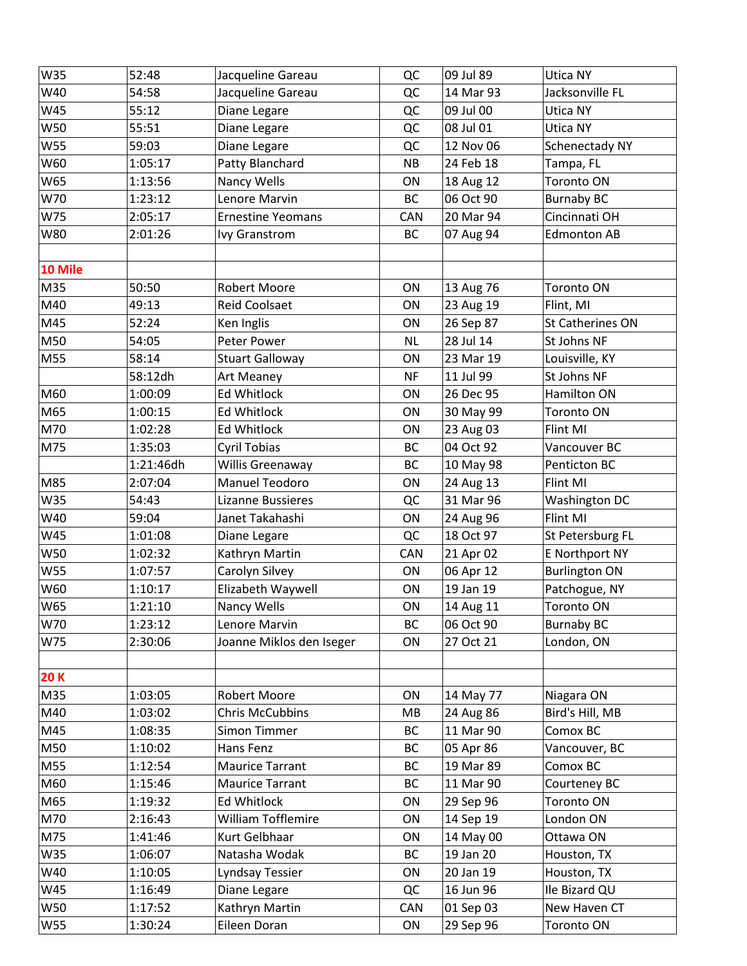| <b>W35</b> | 52:48     | Jacqueline Gareau        | QC         | 09 Jul 89 | Utica NY             |
|------------|-----------|--------------------------|------------|-----------|----------------------|
| W40        | 54:58     | Jacqueline Gareau        | QC         | 14 Mar 93 | Jacksonville FL      |
| W45        | 55:12     | Diane Legare             | QC         | 09 Jul 00 | Utica NY             |
| W50        | 55:51     | Diane Legare             | QC         | 08 Jul 01 | Utica NY             |
| W55        | 59:03     | Diane Legare             | QC         | 12 Nov 06 | Schenectady NY       |
| W60        | 1:05:17   | Patty Blanchard          | NB         | 24 Feb 18 | Tampa, FL            |
| W65        | 1:13:56   | Nancy Wells              | ON         | 18 Aug 12 | <b>Toronto ON</b>    |
| W70        | 1:23:12   | Lenore Marvin            | <b>BC</b>  | 06 Oct 90 | <b>Burnaby BC</b>    |
| W75        | 2:05:17   | <b>Ernestine Yeomans</b> | CAN        | 20 Mar 94 | Cincinnati OH        |
| W80        | 2:01:26   | Ivy Granstrom            | BC         | 07 Aug 94 | <b>Edmonton AB</b>   |
|            |           |                          |            |           |                      |
| 10 Mile    |           |                          |            |           |                      |
| M35        | 50:50     | Robert Moore             | ON         | 13 Aug 76 | <b>Toronto ON</b>    |
| M40        | 49:13     | <b>Reid Coolsaet</b>     | ON         | 23 Aug 19 | Flint, MI            |
| M45        | 52:24     | Ken Inglis               | ON         | 26 Sep 87 | St Catherines ON     |
| M50        | 54:05     | Peter Power              | <b>NL</b>  | 28 Jul 14 | St Johns NF          |
| M55        | 58:14     | <b>Stuart Galloway</b>   | ON         | 23 Mar 19 | Louisville, KY       |
|            | 58:12dh   | Art Meaney               | <b>NF</b>  | 11 Jul 99 | St Johns NF          |
| M60        | 1:00:09   | <b>Ed Whitlock</b>       | ON         | 26 Dec 95 | Hamilton ON          |
| M65        | 1:00:15   | <b>Ed Whitlock</b>       | ON         | 30 May 99 | Toronto ON           |
| M70        | 1:02:28   | <b>Ed Whitlock</b>       | ON         | 23 Aug 03 | Flint MI             |
| M75        | 1:35:03   | Cyril Tobias             | BC         | 04 Oct 92 | Vancouver BC         |
|            | 1:21:46dh | Willis Greenaway         | <b>BC</b>  | 10 May 98 | Penticton BC         |
| M85        | 2:07:04   | Manuel Teodoro           | ON         | 24 Aug 13 | Flint MI             |
| W35        | 54:43     | Lizanne Bussieres        | QC         | 31 Mar 96 | <b>Washington DC</b> |
| W40        | 59:04     | Janet Takahashi          | ON         | 24 Aug 96 | Flint MI             |
| W45        | 1:01:08   | Diane Legare             | QC         | 18 Oct 97 | St Petersburg FL     |
| W50        | 1:02:32   | Kathryn Martin           | CAN        | 21 Apr 02 | E Northport NY       |
| W55        | 1:07:57   | Carolyn Silvey           | ON         | 06 Apr 12 | <b>Burlington ON</b> |
| W60        | 1:10:17   | Elizabeth Waywell        | ON         | 19 Jan 19 | Patchogue, NY        |
| W65        | 1:21:10   | <b>Nancy Wells</b>       | ON         | 14 Aug 11 | <b>Toronto ON</b>    |
| W70        | 1:23:12   | Lenore Marvin            | BC         | 06 Oct 90 | <b>Burnaby BC</b>    |
| W75        | 2:30:06   | Joanne Miklos den Iseger | ON         | 27 Oct 21 | London, ON           |
|            |           |                          |            |           |                      |
| <b>20K</b> |           |                          |            |           |                      |
| M35        | 1:03:05   | Robert Moore             | ON         | 14 May 77 | Niagara ON           |
| M40        | 1:03:02   | <b>Chris McCubbins</b>   | MB         | 24 Aug 86 | Bird's Hill, MB      |
| M45        | 1:08:35   | Simon Timmer             | BC         | 11 Mar 90 | Comox BC             |
| M50        | 1:10:02   | Hans Fenz                | BC         | 05 Apr 86 | Vancouver, BC        |
| M55        | 1:12:54   | <b>Maurice Tarrant</b>   | BC         | 19 Mar 89 | Comox BC             |
| M60        | 1:15:46   | <b>Maurice Tarrant</b>   | BC         | 11 Mar 90 | Courteney BC         |
| M65        | 1:19:32   | <b>Ed Whitlock</b>       | ON         | 29 Sep 96 | <b>Toronto ON</b>    |
| M70        | 2:16:43   | William Tofflemire       | ON         | 14 Sep 19 | London ON            |
| M75        | 1:41:46   | Kurt Gelbhaar            | ON         | 14 May 00 | Ottawa ON            |
| W35        | 1:06:07   | Natasha Wodak            | BC         | 19 Jan 20 | Houston, TX          |
| W40        | 1:10:05   | Lyndsay Tessier          | ON         | 20 Jan 19 | Houston, TX          |
| W45        | 1:16:49   | Diane Legare             | QC         | 16 Jun 96 | Ile Bizard QU        |
| <b>W50</b> | 1:17:52   | Kathryn Martin           | <b>CAN</b> | 01 Sep 03 | New Haven CT         |
| <b>W55</b> | 1:30:24   | Eileen Doran             | ON         | 29 Sep 96 | Toronto ON           |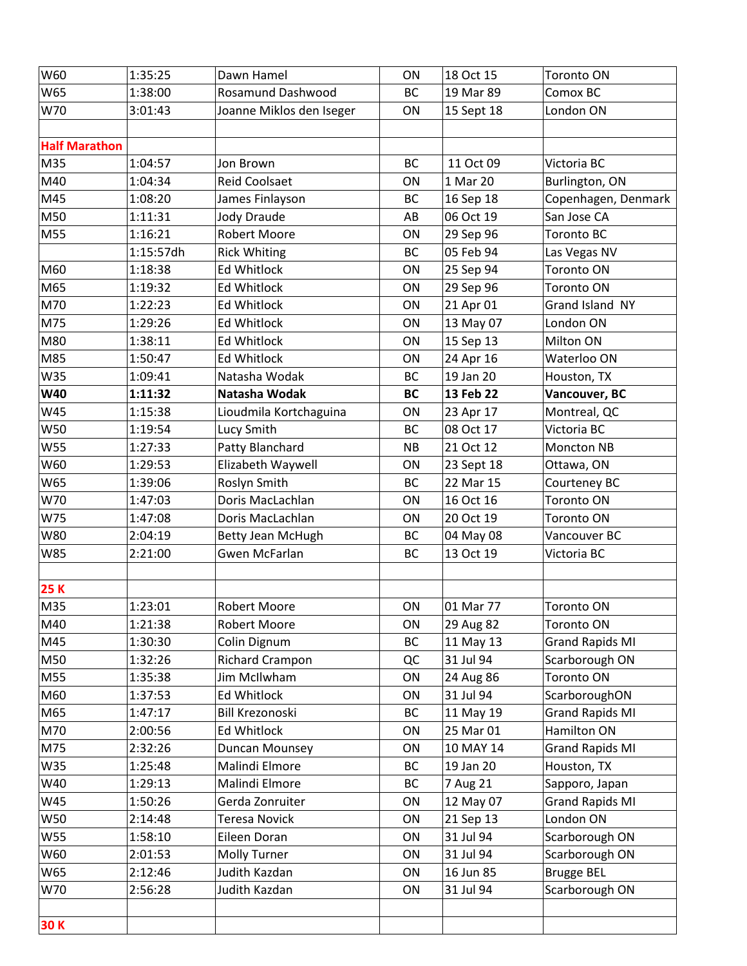| W60                  | 1:35:25   | Dawn Hamel               | ON        | 18 Oct 15  | <b>Toronto ON</b>      |
|----------------------|-----------|--------------------------|-----------|------------|------------------------|
| W65                  | 1:38:00   | Rosamund Dashwood        | BC        | 19 Mar 89  | Comox BC               |
| W70                  | 3:01:43   | Joanne Miklos den Iseger | ON        | 15 Sept 18 | London ON              |
|                      |           |                          |           |            |                        |
| <b>Half Marathon</b> |           |                          |           |            |                        |
| M35                  | 1:04:57   | Jon Brown                | BC        | 11 Oct 09  | Victoria BC            |
| M40                  | 1:04:34   | <b>Reid Coolsaet</b>     | ON        | 1 Mar 20   | Burlington, ON         |
| M45                  | 1:08:20   | James Finlayson          | BC        | 16 Sep 18  | Copenhagen, Denmark    |
| M50                  | 1:11:31   | Jody Draude              | AB        | 06 Oct 19  | San Jose CA            |
| M55                  | 1:16:21   | <b>Robert Moore</b>      | ON        | 29 Sep 96  | <b>Toronto BC</b>      |
|                      | 1:15:57dh | <b>Rick Whiting</b>      | <b>BC</b> | 05 Feb 94  | Las Vegas NV           |
| M60                  | 1:18:38   | <b>Ed Whitlock</b>       | ON        | 25 Sep 94  | <b>Toronto ON</b>      |
| M65                  | 1:19:32   | <b>Ed Whitlock</b>       | ON        | 29 Sep 96  | <b>Toronto ON</b>      |
| M70                  | 1:22:23   | <b>Ed Whitlock</b>       | ON        | 21 Apr 01  | Grand Island NY        |
| M75                  | 1:29:26   | <b>Ed Whitlock</b>       | ON        | 13 May 07  | London ON              |
| M80                  | 1:38:11   | <b>Ed Whitlock</b>       | ON        | 15 Sep 13  | Milton ON              |
| M85                  | 1:50:47   | <b>Ed Whitlock</b>       | ON        | 24 Apr 16  | Waterloo ON            |
| W35                  | 1:09:41   | Natasha Wodak            | BC        | 19 Jan 20  | Houston, TX            |
| <b>W40</b>           | 1:11:32   | Natasha Wodak            | <b>BC</b> | 13 Feb 22  | Vancouver, BC          |
| W45                  | 1:15:38   | Lioudmila Kortchaguina   | ON        | 23 Apr 17  | Montreal, QC           |
| W50                  | 1:19:54   | Lucy Smith               | BC        | 08 Oct 17  | Victoria BC            |
| W55                  | 1:27:33   | Patty Blanchard          | <b>NB</b> | 21 Oct 12  | Moncton NB             |
| W60                  | 1:29:53   | Elizabeth Waywell        | ON        | 23 Sept 18 | Ottawa, ON             |
| W65                  | 1:39:06   | Roslyn Smith             | BC        | 22 Mar 15  | Courteney BC           |
| W70                  | 1:47:03   | Doris MacLachlan         | ON        | 16 Oct 16  | <b>Toronto ON</b>      |
| W75                  | 1:47:08   | Doris MacLachlan         | ON        | 20 Oct 19  | <b>Toronto ON</b>      |
| W80                  | 2:04:19   | Betty Jean McHugh        | BC        | 04 May 08  | Vancouver BC           |
| W85                  | 2:21:00   | Gwen McFarlan            | BC        | 13 Oct 19  | Victoria BC            |
|                      |           |                          |           |            |                        |
| <b>25K</b>           |           |                          |           |            |                        |
| M35                  | 1:23:01   | Robert Moore             | ON        | 01 Mar 77  | <b>Toronto ON</b>      |
| M40                  | 1:21:38   | Robert Moore             | ON        | 29 Aug 82  | <b>Toronto ON</b>      |
| M45                  | 1:30:30   | Colin Dignum             | BC        | 11 May 13  | <b>Grand Rapids MI</b> |
| M50                  | 1:32:26   | <b>Richard Crampon</b>   | QC        | 31 Jul 94  | Scarborough ON         |
| M55                  | 1:35:38   | Jim McIlwham             | ON        | 24 Aug 86  | <b>Toronto ON</b>      |
| M60                  | 1:37:53   | <b>Ed Whitlock</b>       | ON        | 31 Jul 94  | ScarboroughON          |
| M65                  | 1:47:17   | <b>Bill Krezonoski</b>   | BC        | 11 May 19  | <b>Grand Rapids MI</b> |
| M70                  | 2:00:56   | <b>Ed Whitlock</b>       | ON        | 25 Mar 01  | Hamilton ON            |
| M75                  | 2:32:26   | Duncan Mounsey           | ON        | 10 MAY 14  | <b>Grand Rapids MI</b> |
| W35                  | 1:25:48   | Malindi Elmore           | BC        | 19 Jan 20  | Houston, TX            |
| W40                  | 1:29:13   | Malindi Elmore           | BC        | 7 Aug 21   | Sapporo, Japan         |
| W45                  | 1:50:26   | Gerda Zonruiter          | ON        | 12 May 07  | <b>Grand Rapids MI</b> |
| W50                  | 2:14:48   | Teresa Novick            | ON        | 21 Sep 13  | London ON              |
| W55                  | 1:58:10   | Eileen Doran             | ON        | 31 Jul 94  | Scarborough ON         |
| W60                  | 2:01:53   | Molly Turner             | ON        | 31 Jul 94  | Scarborough ON         |
| W65                  | 2:12:46   | Judith Kazdan            | ON        | 16 Jun 85  | <b>Brugge BEL</b>      |
| W70                  | 2:56:28   | Judith Kazdan            | ON        | 31 Jul 94  | Scarborough ON         |
|                      |           |                          |           |            |                        |
| 30K                  |           |                          |           |            |                        |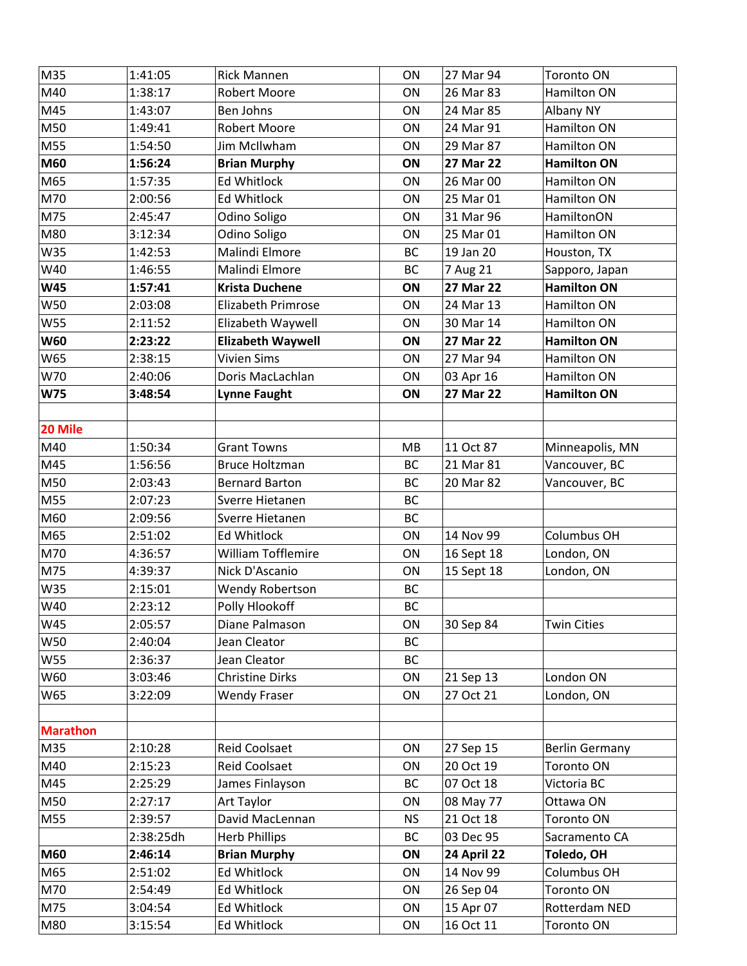| M35             | 1:41:05   | <b>Rick Mannen</b>        | ON        | 27 Mar 94   | Toronto ON            |
|-----------------|-----------|---------------------------|-----------|-------------|-----------------------|
| M40             | 1:38:17   | Robert Moore              | ON        | 26 Mar 83   | Hamilton ON           |
| M45             | 1:43:07   | Ben Johns                 | ON        | 24 Mar 85   | Albany NY             |
| M50             | 1:49:41   | Robert Moore              | ON        | 24 Mar 91   | Hamilton ON           |
| M55             | 1:54:50   | Jim McIlwham              | ON        | 29 Mar 87   | Hamilton ON           |
| M60             | 1:56:24   | <b>Brian Murphy</b>       | ON        | 27 Mar 22   | <b>Hamilton ON</b>    |
| M65             | 1:57:35   | <b>Ed Whitlock</b>        | ON        | 26 Mar 00   | Hamilton ON           |
| M70             | 2:00:56   | <b>Ed Whitlock</b>        | ON        | 25 Mar 01   | Hamilton ON           |
| M75             | 2:45:47   | Odino Soligo              | ON        | 31 Mar 96   | <b>HamiltonON</b>     |
| M80             | 3:12:34   | Odino Soligo              | ON        | 25 Mar 01   | Hamilton ON           |
| W35             | 1:42:53   | Malindi Elmore            | <b>BC</b> | 19 Jan 20   | Houston, TX           |
| W40             | 1:46:55   | Malindi Elmore            | BC        | 7 Aug 21    | Sapporo, Japan        |
| <b>W45</b>      | 1:57:41   | <b>Krista Duchene</b>     | ON        | 27 Mar 22   | <b>Hamilton ON</b>    |
| W50             | 2:03:08   | <b>Elizabeth Primrose</b> | ON        | 24 Mar 13   | <b>Hamilton ON</b>    |
| <b>W55</b>      | 2:11:52   | Elizabeth Waywell         | ON        | 30 Mar 14   | Hamilton ON           |
| <b>W60</b>      | 2:23:22   | <b>Elizabeth Waywell</b>  | ON        | 27 Mar 22   | <b>Hamilton ON</b>    |
| W65             | 2:38:15   | <b>Vivien Sims</b>        | ON        | 27 Mar 94   | Hamilton ON           |
| W70             | 2:40:06   | Doris MacLachlan          | ON        | 03 Apr 16   | Hamilton ON           |
| <b>W75</b>      | 3:48:54   | <b>Lynne Faught</b>       | ON        | 27 Mar 22   | <b>Hamilton ON</b>    |
|                 |           |                           |           |             |                       |
| 20 Mile         |           |                           |           |             |                       |
| M40             | 1:50:34   | <b>Grant Towns</b>        | MB        | 11 Oct 87   | Minneapolis, MN       |
| M45             | 1:56:56   | <b>Bruce Holtzman</b>     | <b>BC</b> | 21 Mar 81   | Vancouver, BC         |
| M50             | 2:03:43   | <b>Bernard Barton</b>     | <b>BC</b> | 20 Mar 82   | Vancouver, BC         |
| M55             | 2:07:23   | Sverre Hietanen           | <b>BC</b> |             |                       |
| M60             | 2:09:56   | Sverre Hietanen           | <b>BC</b> |             |                       |
| M65             | 2:51:02   | <b>Ed Whitlock</b>        | ON        | 14 Nov 99   | Columbus OH           |
| M70             | 4:36:57   | William Tofflemire        | ON        | 16 Sept 18  | London, ON            |
| M75             | 4:39:37   | Nick D'Ascanio            | ON        | 15 Sept 18  | London, ON            |
| <b>W35</b>      | 2:15:01   | <b>Wendy Robertson</b>    | <b>BC</b> |             |                       |
| W40             | 2:23:12   | Polly Hlookoff            | BC        |             |                       |
| W45             | 2:05:57   | Diane Palmason            | ON        | 30 Sep 84   | <b>Twin Cities</b>    |
| <b>W50</b>      | 2:40:04   | Jean Cleator              | BC        |             |                       |
| W55             | 2:36:37   | Jean Cleator              | BC        |             |                       |
| W60             | 3:03:46   | <b>Christine Dirks</b>    | ON        | 21 Sep 13   | London ON             |
| W65             | 3:22:09   | <b>Wendy Fraser</b>       | ON        | 27 Oct 21   | London, ON            |
|                 |           |                           |           |             |                       |
| <b>Marathon</b> |           |                           |           |             |                       |
| M35             | 2:10:28   | Reid Coolsaet             | ON        | 27 Sep 15   | <b>Berlin Germany</b> |
| M40             | 2:15:23   | Reid Coolsaet             | ON        | 20 Oct 19   | <b>Toronto ON</b>     |
| M45             | 2:25:29   | James Finlayson           | BC        | 07 Oct 18   | Victoria BC           |
| M50             | 2:27:17   | Art Taylor                | ON        | 08 May 77   | Ottawa ON             |
| M55             | 2:39:57   | David MacLennan           | <b>NS</b> | 21 Oct 18   | Toronto ON            |
|                 | 2:38:25dh | <b>Herb Phillips</b>      | BC        | 03 Dec 95   | Sacramento CA         |
| M60             | 2:46:14   | <b>Brian Murphy</b>       | ON        | 24 April 22 | Toledo, OH            |
| M65             | 2:51:02   | <b>Ed Whitlock</b>        | ON        | 14 Nov 99   | Columbus OH           |
| M70             | 2:54:49   | <b>Ed Whitlock</b>        | ON        | 26 Sep 04   | <b>Toronto ON</b>     |
| M75             | 3:04:54   | <b>Ed Whitlock</b>        | ON        | 15 Apr 07   | Rotterdam NED         |
| M80             | 3:15:54   | Ed Whitlock               | ON        | 16 Oct 11   | Toronto ON            |